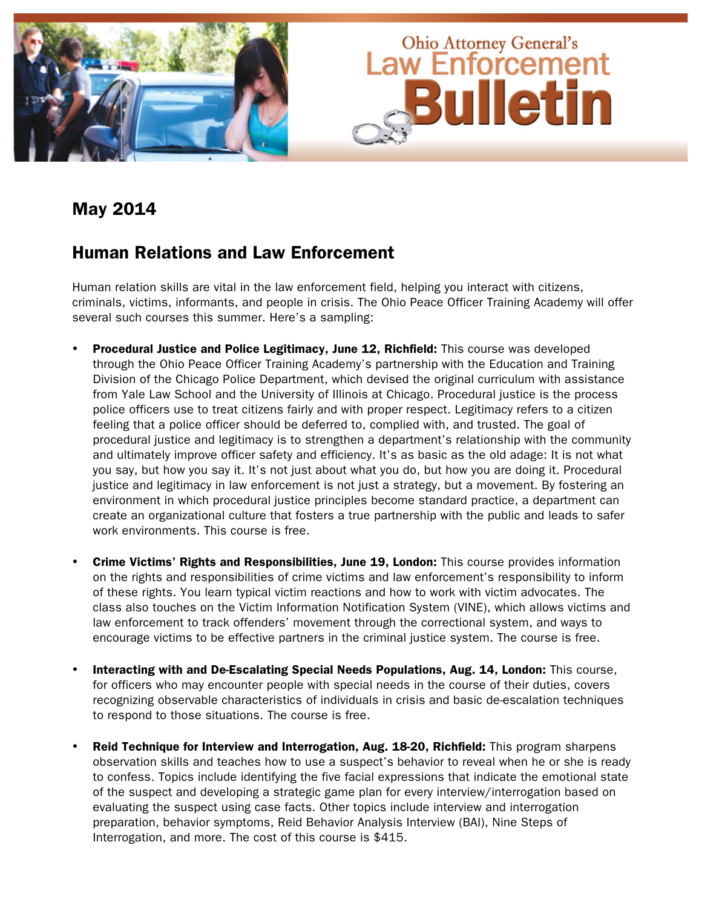

### May 2014

### Human Relations and Law Enforcement

Human relation skills are vital in the law enforcement field, helping you interact with citizens, criminals, victims, informants, and people in crisis. The Ohio Peace Officer Training Academy will offer several such courses this summer. Here's a sampling:

- Procedural Justice and Police Legitimacy, June 12, Richfield: This course was developed through the Ohio Peace Officer Training Academy's partnership with the Education and Training Division of the Chicago Police Department, which devised the original curriculum with assistance from Yale Law School and the University of Illinois at Chicago. Procedural justice is the process police officers use to treat citizens fairly and with proper respect. Legitimacy refers to a citizen feeling that a police officer should be deferred to, complied with, and trusted. The goal of procedural justice and legitimacy is to strengthen a department's relationship with the community and ultimately improve officer safety and efficiency. It's as basic as the old adage: It is not what you say, but how you say it. It's not just about what you do, but how you are doing it. Procedural justice and legitimacy in law enforcement is not just a strategy, but a movement. By fostering an environment in which procedural justice principles become standard practice, a department can create an organizational culture that fosters a true partnership with the public and leads to safer work environments. This course is free.
- Crime Victims' Rights and Responsibilities, June 19, London: This course provides information on the rights and responsibilities of crime victims and law enforcement's responsibility to inform of these rights. You learn typical victim reactions and how to work with victim advocates. The class also touches on the Victim Information Notification System (VINE), which allows victims and law enforcement to track offenders' movement through the correctional system, and ways to encourage victims to be effective partners in the criminal justice system. The course is free.
- Interacting with and De-Escalating Special Needs Populations, Aug. 14, London: This course, for officers who may encounter people with special needs in the course of their duties, covers recognizing observable characteristics of individuals in crisis and basic de-escalation techniques to respond to those situations. The course is free.
- Reid Technique for Interview and Interrogation, Aug. 18-20, Richfield: This program sharpens observation skills and teaches how to use a suspect's behavior to reveal when he or she is ready to confess. Topics include identifying the five facial expressions that indicate the emotional state of the suspect and developing a strategic game plan for every interview/interrogation based on evaluating the suspect using case facts. Other topics include interview and interrogation preparation, behavior symptoms, Reid Behavior Analysis Interview (BAI), Nine Steps of Interrogation, and more. The cost of this course is \$415.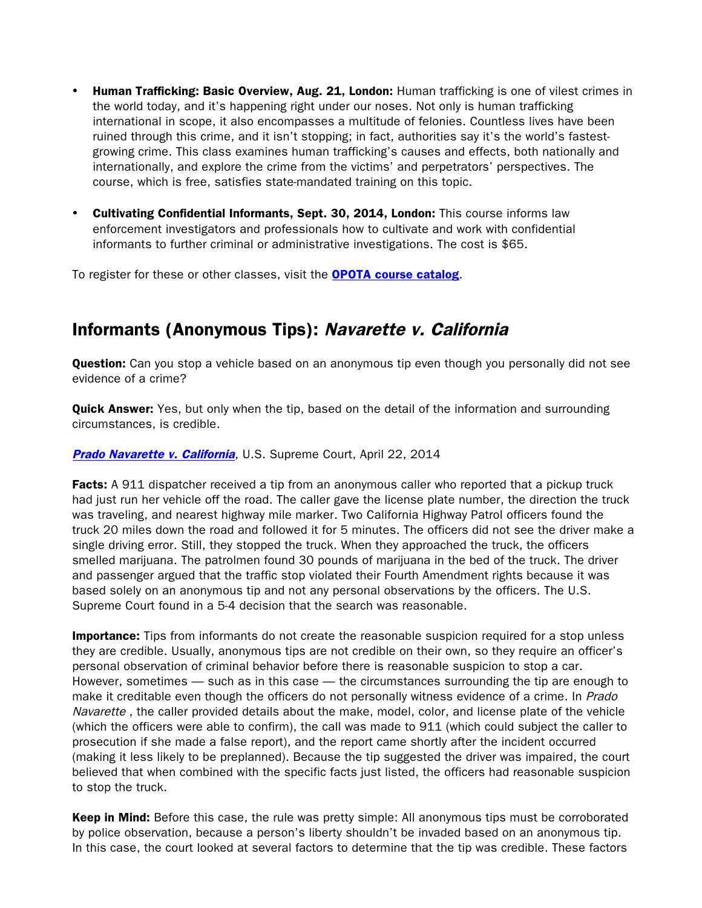- **Human Trafficking: Basic Overview, Aug. 21, London:** Human trafficking is one of vilest crimes in the world today, and it's happening right under our noses. Not only is human trafficking international in scope, it also encompasses a multitude of felonies. Countless lives have been ruined through this crime, and it isn't stopping; in fact, authorities say it's the world's fastestgrowing crime. This class examines human trafficking's causes and effects, both nationally and internationally, and explore the crime from the victims' and perpetrators' perspectives. The course, which is free, satisfies state-mandated training on this topic.
- Cultivating Confidential Informants, Sept. 30, 2014, London: This course informs law enforcement investigators and professionals how to cultivate and work with confidential informants to further criminal or administrative investigations. The cost is \$65.

To register for these or other classes, visit the **[OPOTA course catalog](http://www.ohioattorneygeneral.gov/Law-Enforcement/Ohio-Peace-Officer-Training-Academy/Course-Catalog.aspx)**.

## Informants (Anonymous Tips): Navarette v. California

Question: Can you stop a vehicle based on an anonymous tip even though you personally did not see evidence of a crime?

Quick Answer: Yes, but only when the tip, based on the detail of the information and surrounding circumstances, is credible.

#### [Prado Navarette v. California](http://www.supremecourt.gov/opinions/13pdf/12-9490_3fb4.pdf), U.S. Supreme Court, April 22, 2014

Facts: A 911 dispatcher received a tip from an anonymous caller who reported that a pickup truck had just run her vehicle off the road. The caller gave the license plate number, the direction the truck was traveling, and nearest highway mile marker. Two California Highway Patrol officers found the truck 20 miles down the road and followed it for 5 minutes. The officers did not see the driver make a single driving error. Still, they stopped the truck. When they approached the truck, the officers smelled marijuana. The patrolmen found 30 pounds of marijuana in the bed of the truck. The driver and passenger argued that the traffic stop violated their Fourth Amendment rights because it was based solely on an anonymous tip and not any personal observations by the officers. The U.S. Supreme Court found in a 5-4 decision that the search was reasonable.

**Importance:** Tips from informants do not create the reasonable suspicion required for a stop unless they are credible. Usually, anonymous tips are not credible on their own, so they require an officer's personal observation of criminal behavior before there is reasonable suspicion to stop a car. However, sometimes — such as in this case — the circumstances surrounding the tip are enough to make it creditable even though the officers do not personally witness evidence of a crime. In Prado Navarette, the caller provided details about the make, model, color, and license plate of the vehicle (which the officers were able to confirm), the call was made to 911 (which could subject the caller to prosecution if she made a false report), and the report came shortly after the incident occurred (making it less likely to be preplanned). Because the tip suggested the driver was impaired, the court believed that when combined with the specific facts just listed, the officers had reasonable suspicion to stop the truck.

**Keep in Mind:** Before this case, the rule was pretty simple: All anonymous tips must be corroborated by police observation, because a person's liberty shouldn't be invaded based on an anonymous tip. In this case, the court looked at several factors to determine that the tip was credible. These factors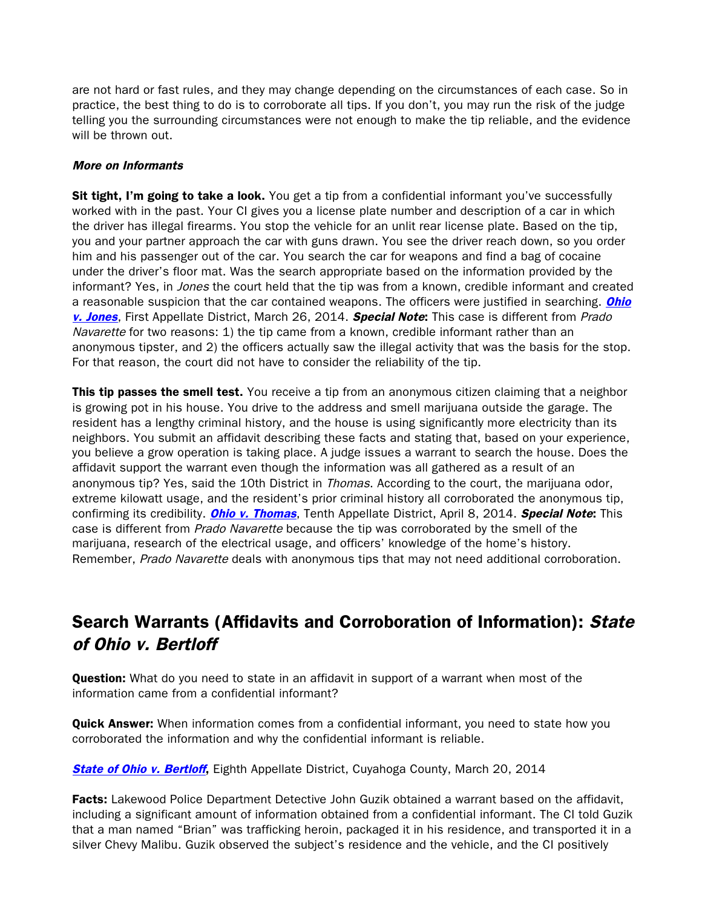are not hard or fast rules, and they may change depending on the circumstances of each case. So in practice, the best thing to do is to corroborate all tips. If you don't, you may run the risk of the judge telling you the surrounding circumstances were not enough to make the tip reliable, and the evidence will be thrown out.

#### More on Informants

Sit tight, I'm going to take a look. You get a tip from a confidential informant you've successfully worked with in the past. Your CI gives you a license plate number and description of a car in which the driver has illegal firearms. You stop the vehicle for an unlit rear license plate. Based on the tip, you and your partner approach the car with guns drawn. You see the driver reach down, so you order him and his passenger out of the car. You search the car for weapons and find a bag of cocaine under the driver's floor mat. Was the search appropriate based on the information provided by the informant? Yes, in *Jones* the court held that the tip was from a known, credible informant and created a reasonable suspicion that the car contained weapons. The officers were justified in searching. *Ohio* [v. Jones](http://www.google.com/url?sa=t&rct=j&q=&esrc=s&frm=1&source=web&cd=3&ved=0CDMQFjAC&url=http%3A%2F%2Fwww.supremecourt.ohio.gov%2Frod%2Fdocs%2Fpdf%2F1%2F2014%2F2014-ohio-1201.pdf&ei=0ftgU9WZJeLhsATm9oLYAQ&usg=AFQjCNFDjCCjQdiKLvs3NZls2-e9C7vkMA), First Appellate District, March 26, 2014. Special Note: This case is different from Prado Navarette for two reasons: 1) the tip came from a known, credible informant rather than an anonymous tipster, and 2) the officers actually saw the illegal activity that was the basis for the stop. For that reason, the court did not have to consider the reliability of the tip.

**This tip passes the smell test.** You receive a tip from an anonymous citizen claiming that a neighbor is growing pot in his house. You drive to the address and smell marijuana outside the garage. The resident has a lengthy criminal history, and the house is using significantly more electricity than its neighbors. You submit an affidavit describing these facts and stating that, based on your experience, you believe a grow operation is taking place. A judge issues a warrant to search the house. Does the affidavit support the warrant even though the information was all gathered as a result of an anonymous tip? Yes, said the 10th District in *Thomas*. According to the court, the marijuana odor, extreme kilowatt usage, and the resident's prior criminal history all corroborated the anonymous tip, confirming its credibility. *[Ohio v. Thomas](https://sc.ohio.gov/rod/docs/pdf/10/2014/2014-ohio-1489.pdf)*, Tenth Appellate District, April 8, 2014. **Special Note:** This case is different from Prado Navarette because the tip was corroborated by the smell of the marijuana, research of the electrical usage, and officers' knowledge of the home's history. Remember, Prado Navarette deals with anonymous tips that may not need additional corroboration.

## Search Warrants (Affidavits and Corroboration of Information): State of Ohio v. Bertloff

**Question:** What do you need to state in an affidavit in support of a warrant when most of the information came from a confidential informant?

**Quick Answer:** When information comes from a confidential informant, you need to state how you corroborated the information and why the confidential informant is reliable.

**[State of Ohio v. Bertloff](http://www.supremecourt.ohio.gov/rod/docs/pdf/8/2014/2014-ohio-1077.pdf),** Eighth Appellate District, Cuyahoga County, March 20, 2014

Facts: Lakewood Police Department Detective John Guzik obtained a warrant based on the affidavit, including a significant amount of information obtained from a confidential informant. The CI told Guzik that a man named "Brian" was trafficking heroin, packaged it in his residence, and transported it in a silver Chevy Malibu. Guzik observed the subject's residence and the vehicle, and the CI positively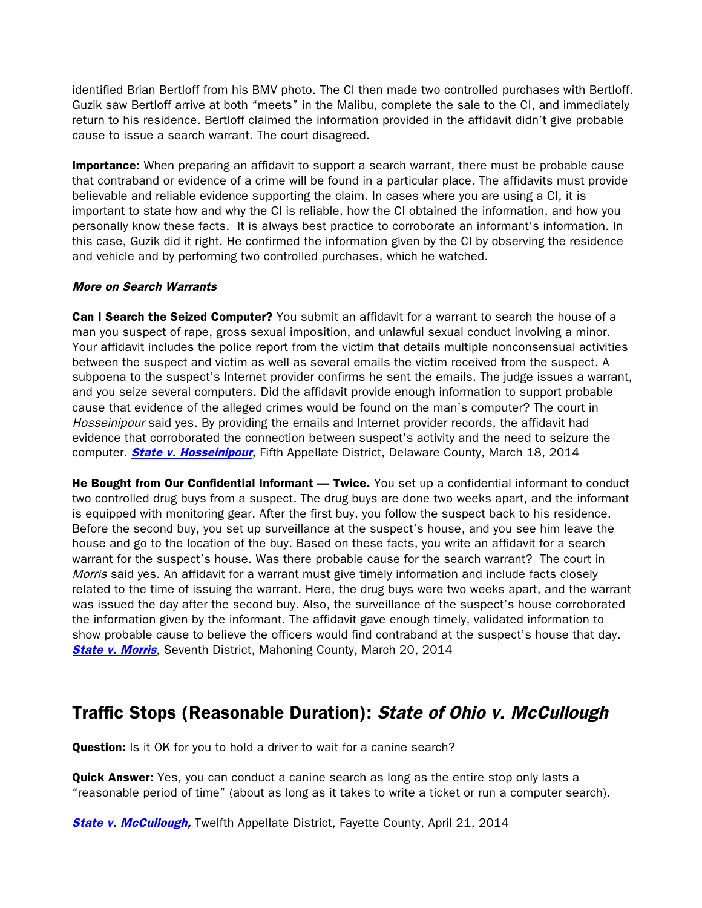identified Brian Bertloff from his BMV photo. The CI then made two controlled purchases with Bertloff. Guzik saw Bertloff arrive at both "meets" in the Malibu, complete the sale to the CI, and immediately return to his residence. Bertloff claimed the information provided in the affidavit didn't give probable cause to issue a search warrant. The court disagreed.

**Importance:** When preparing an affidavit to support a search warrant, there must be probable cause that contraband or evidence of a crime will be found in a particular place. The affidavits must provide believable and reliable evidence supporting the claim. In cases where you are using a CI, it is important to state how and why the CI is reliable, how the CI obtained the information, and how you personally know these facts. It is always best practice to corroborate an informant's information. In this case, Guzik did it right. He confirmed the information given by the CI by observing the residence and vehicle and by performing two controlled purchases, which he watched.

#### More on Search Warrants

**Can I Search the Seized Computer?** You submit an affidavit for a warrant to search the house of a man you suspect of rape, gross sexual imposition, and unlawful sexual conduct involving a minor. Your affidavit includes the police report from the victim that details multiple nonconsensual activities between the suspect and victim as well as several emails the victim received from the suspect. A subpoena to the suspect's Internet provider confirms he sent the emails. The judge issues a warrant, and you seize several computers. Did the affidavit provide enough information to support probable cause that evidence of the alleged crimes would be found on the man's computer? The court in Hosseinipour said yes. By providing the emails and Internet provider records, the affidavit had evidence that corroborated the connection between suspect's activity and the need to seizure the computer. **[State v. Hosseinipour,](http://www.sconet.state.oh.us/rod/docs/pdf/5/2014/2014-ohio-1090.pdf)** Fifth Appellate District, Delaware County, March 18, 2014

**He Bought from Our Confidential Informant — Twice.** You set up a confidential informant to conduct two controlled drug buys from a suspect. The drug buys are done two weeks apart, and the informant is equipped with monitoring gear. After the first buy, you follow the suspect back to his residence. Before the second buy, you set up surveillance at the suspect's house, and you see him leave the house and go to the location of the buy. Based on these facts, you write an affidavit for a search warrant for the suspect's house. Was there probable cause for the search warrant? The court in Morris said yes. An affidavit for a warrant must give timely information and include facts closely related to the time of issuing the warrant. Here, the drug buys were two weeks apart, and the warrant was issued the day after the second buy. Also, the surveillance of the suspect's house corroborated the information given by the informant. The affidavit gave enough timely, validated information to show probable cause to believe the officers would find contraband at the suspect's house that day. **[State v. Morris](http://www.supremecourt.ohio.gov/rod/docs/pdf/7/2014/2014-ohio-1177.pdf),** Seventh District, Mahoning County, March 20, 2014

# Traffic Stops (Reasonable Duration): State of Ohio v. McCullough

**Question:** Is it OK for you to hold a driver to wait for a canine search?

**Quick Answer:** Yes, you can conduct a canine search as long as the entire stop only lasts a "reasonable period of time" (about as long as it takes to write a ticket or run a computer search).

**[State v. McCullough,](http://www.supremecourt.ohio.gov/rod/docs/pdf/12/2014/2014-ohio-1696.pdf) Twelfth Appellate District, Fayette County, April 21, 2014**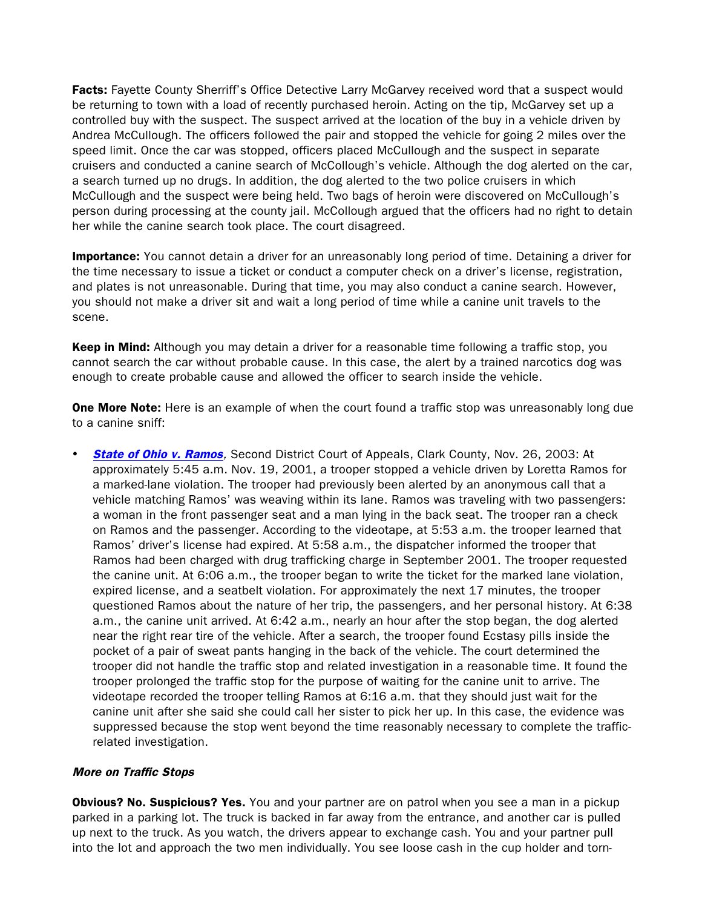Facts: Fayette County Sherriff's Office Detective Larry McGarvey received word that a suspect would be returning to town with a load of recently purchased heroin. Acting on the tip, McGarvey set up a controlled buy with the suspect. The suspect arrived at the location of the buy in a vehicle driven by Andrea McCullough. The officers followed the pair and stopped the vehicle for going 2 miles over the speed limit. Once the car was stopped, officers placed McCullough and the suspect in separate cruisers and conducted a canine search of McCollough's vehicle. Although the dog alerted on the car, a search turned up no drugs. In addition, the dog alerted to the two police cruisers in which McCullough and the suspect were being held. Two bags of heroin were discovered on McCullough's person during processing at the county jail. McCollough argued that the officers had no right to detain her while the canine search took place. The court disagreed.

**Importance:** You cannot detain a driver for an unreasonably long period of time. Detaining a driver for the time necessary to issue a ticket or conduct a computer check on a driver's license, registration, and plates is not unreasonable. During that time, you may also conduct a canine search. However, you should not make a driver sit and wait a long period of time while a canine unit travels to the scene.

Keep in Mind: Although you may detain a driver for a reasonable time following a traffic stop, you cannot search the car without probable cause. In this case, the alert by a trained narcotics dog was enough to create probable cause and allowed the officer to search inside the vehicle.

**One More Note:** Here is an example of when the court found a traffic stop was unreasonably long due to a canine sniff:

**[State of Ohio v. Ramos](http://www.sconet.state.oh.us/rod/docs/pdf/2/2003/2003-ohio-6535.pdf),** Second District Court of Appeals, Clark County, Nov. 26, 2003: At approximately 5:45 a.m. Nov. 19, 2001, a trooper stopped a vehicle driven by Loretta Ramos for a marked-lane violation. The trooper had previously been alerted by an anonymous call that a vehicle matching Ramos' was weaving within its lane. Ramos was traveling with two passengers: a woman in the front passenger seat and a man lying in the back seat. The trooper ran a check on Ramos and the passenger. According to the videotape, at 5:53 a.m. the trooper learned that Ramos' driver's license had expired. At 5:58 a.m., the dispatcher informed the trooper that Ramos had been charged with drug trafficking charge in September 2001. The trooper requested the canine unit. At 6:06 a.m., the trooper began to write the ticket for the marked lane violation, expired license, and a seatbelt violation. For approximately the next 17 minutes, the trooper questioned Ramos about the nature of her trip, the passengers, and her personal history. At 6:38 a.m., the canine unit arrived. At 6:42 a.m., nearly an hour after the stop began, the dog alerted near the right rear tire of the vehicle. After a search, the trooper found Ecstasy pills inside the pocket of a pair of sweat pants hanging in the back of the vehicle. The court determined the trooper did not handle the traffic stop and related investigation in a reasonable time. It found the trooper prolonged the traffic stop for the purpose of waiting for the canine unit to arrive. The videotape recorded the trooper telling Ramos at 6:16 a.m. that they should just wait for the canine unit after she said she could call her sister to pick her up. In this case, the evidence was suppressed because the stop went beyond the time reasonably necessary to complete the trafficrelated investigation.

#### More on Traffic Stops

**Obvious? No. Suspicious? Yes.** You and your partner are on patrol when you see a man in a pickup parked in a parking lot. The truck is backed in far away from the entrance, and another car is pulled up next to the truck. As you watch, the drivers appear to exchange cash. You and your partner pull into the lot and approach the two men individually. You see loose cash in the cup holder and torn